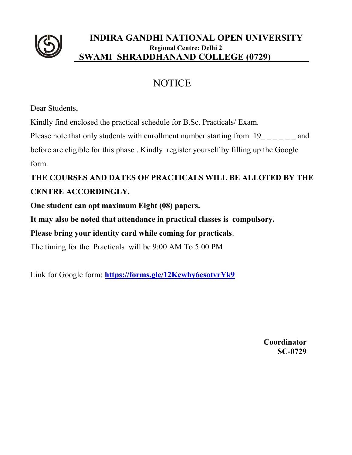

#### **INDIRA GANDHI NATIONAL OPEN UNIVERSITY Regional Centre: Delhi 2 SWAMI SHRADDHANAND COLLEGE (0729)**

# NOTICE

Dear Students,

Kindly find enclosed the practical schedule for B.Sc. Practicals/ Exam.

Please note that only students with enrollment number starting from 19 and

before are eligible for this phase . Kindly register yourself by filling up the Google form.

# **THE COURSES AND DATES OF PRACTICALS WILL BE ALLOTED BY THE CENTRE ACCORDINGLY.**

**One student can opt maximum Eight (08) papers.**

**It may also be noted that attendance in practical classes is compulsory.** 

**Please bring your identity card while coming for practicals**.

The timing for the Practicals will be 9:00 AM To 5:00 PM

Link for Google form: **<https://forms.gle/12Kcwhy6esotvrYk9>**

**Coordinator SC-0729**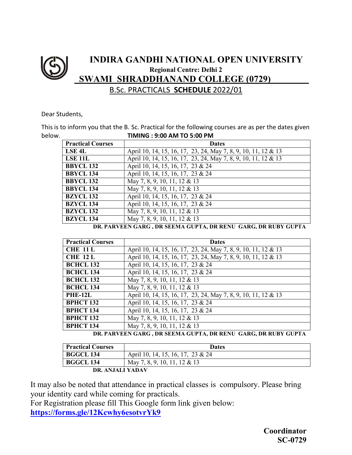### **INDIRA GANDHI NATIONAL OPEN UNIVERSITY Regional Centre: Delhi 2 SWAMI SHRADDHANAND COLLEGE (0729)** B.Sc. PRACTICALS **SCHEDULE** 2022/01

Dear Students,

This is to inform you that the B. Sc. Practical for the following courses are as per the dates given below. **TIMING : 9:00 AM TO 5:00 PM**

| <b>Practical Courses</b> | <b>Dates</b>                                                   |
|--------------------------|----------------------------------------------------------------|
| <b>LSE 4L</b>            | April 10, 14, 15, 16, 17, 23, 24, May 7, 8, 9, 10, 11, 12 & 13 |
| <b>LSE 11L</b>           | April 10, 14, 15, 16, 17, 23, 24, May 7, 8, 9, 10, 11, 12 & 13 |
| <b>BBYCL 132</b>         | April 10, 14, 15, 16, 17, 23 & 24                              |
| <b>BBYCL 134</b>         | April 10, 14, 15, 16, 17, 23 & 24                              |
| <b>BBYCL 132</b>         | May 7, 8, 9, 10, 11, 12 & 13                                   |
| <b>BBYCL 134</b>         | May 7, 8, 9, 10, 11, 12 & 13                                   |
| <b>BZYCL 132</b>         | April 10, 14, 15, 16, 17, 23 & 24                              |
| <b>BZYCL 134</b>         | April 10, 14, 15, 16, 17, 23 & 24                              |
| <b>BZYCL 132</b>         | May 7, 8, 9, 10, 11, 12 & 13                                   |
| <b>BZYCL 134</b>         | May 7, 8, 9, 10, 11, 12 & 13                                   |

**DR. PARVEEN GARG , DR SEEMA GUPTA, DR RENU GARG, DR RUBY GUPTA**

| <b>Practical Courses</b> | <b>Dates</b>                                                   |
|--------------------------|----------------------------------------------------------------|
| <b>CHE 11 L</b>          | April 10, 14, 15, 16, 17, 23, 24, May 7, 8, 9, 10, 11, 12 & 13 |
| <b>CHE 12 L</b>          | April 10, 14, 15, 16, 17, 23, 24, May 7, 8, 9, 10, 11, 12 & 13 |
| <b>BCHCL 132</b>         | April 10, 14, 15, 16, 17, 23 & 24                              |
| <b>BCHCL 134</b>         | April 10, 14, 15, 16, 17, 23 & 24                              |
| <b>BCHCL 132</b>         | May 7, 8, 9, 10, 11, 12 & 13                                   |
| <b>BCHCL 134</b>         | May 7, 8, 9, 10, 11, 12 & 13                                   |
| <b>PHE-12L</b>           | April 10, 14, 15, 16, 17, 23, 24, May 7, 8, 9, 10, 11, 12 & 13 |
| <b>BPHCT 132</b>         | April 10, 14, 15, 16, 17, 23 & 24                              |
| <b>BPHCT 134</b>         | April 10, 14, 15, 16, 17, 23 & 24                              |
| <b>BPHCT 132</b>         | May 7, 8, 9, 10, 11, 12 & 13                                   |
| <b>BPHCT 134</b>         | May 7, 8, 9, 10, 11, 12 & 13                                   |

**DR. PARVEEN GARG , DR SEEMA GUPTA, DR RENU GARG, DR RUBY GUPTA**

| <b>Practical Courses</b> | <b>Dates</b>                      |
|--------------------------|-----------------------------------|
| <b>BGGCL 134</b>         | April 10, 14, 15, 16, 17, 23 & 24 |
| <b>BGGCL 134</b>         | May 7, 8, 9, 10, 11, 12 & 13      |
| DR. ANJALI YADAV         |                                   |

It may also be noted that attendance in practical classes is compulsory. Please bring your identity card while coming for practicals.

For Registration please fill This Google form link given below: **<https://forms.gle/12Kcwhy6esotvrYk9>**

> **Coordinator SC-0729**